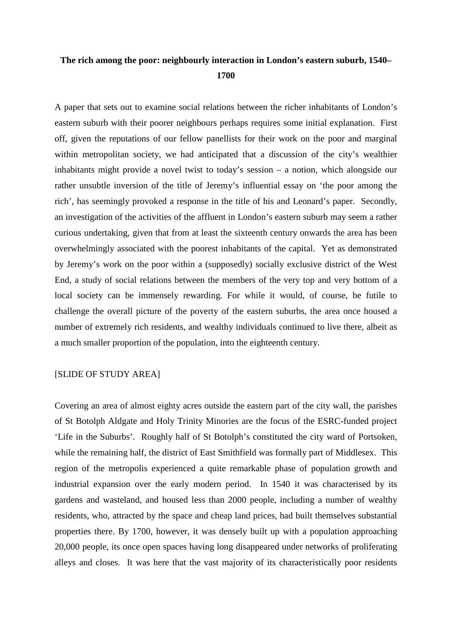## **The rich among the poor: neighbourly interaction in London's eastern suburb, 1540– 1700**

A paper that sets out to examine social relations between the richer inhabitants of London's eastern suburb with their poorer neighbours perhaps requires some initial explanation. First off, given the reputations of our fellow panellists for their work on the poor and marginal within metropolitan society, we had anticipated that a discussion of the city's wealthier inhabitants might provide a novel twist to today's session – a notion, which alongside our rather unsubtle inversion of the title of Jeremy's influential essay on 'the poor among the rich', has seemingly provoked a response in the title of his and Leonard's paper. Secondly, an investigation of the activities of the affluent in London's eastern suburb may seem a rather curious undertaking, given that from at least the sixteenth century onwards the area has been overwhelmingly associated with the poorest inhabitants of the capital. Yet as demonstrated by Jeremy's work on the poor within a (supposedly) socially exclusive district of the West End, a study of social relations between the members of the very top and very bottom of a local society can be immensely rewarding. For while it would, of course, be futile to challenge the overall picture of the poverty of the eastern suburbs, the area once housed a number of extremely rich residents, and wealthy individuals continued to live there, albeit as a much smaller proportion of the population, into the eighteenth century.

## [SLIDE OF STUDY AREA]

Covering an area of almost eighty acres outside the eastern part of the city wall, the parishes of St Botolph Aldgate and Holy Trinity Minories are the focus of the ESRC-funded project 'Life in the Suburbs'. Roughly half of St Botolph's constituted the city ward of Portsoken, while the remaining half, the district of East Smithfield was formally part of Middlesex. This region of the metropolis experienced a quite remarkable phase of population growth and industrial expansion over the early modern period. In 1540 it was characterised by its gardens and wasteland, and housed less than 2000 people, including a number of wealthy residents, who, attracted by the space and cheap land prices, had built themselves substantial properties there. By 1700, however, it was densely built up with a population approaching 20,000 people, its once open spaces having long disappeared under networks of proliferating alleys and closes. It was here that the vast majority of its characteristically poor residents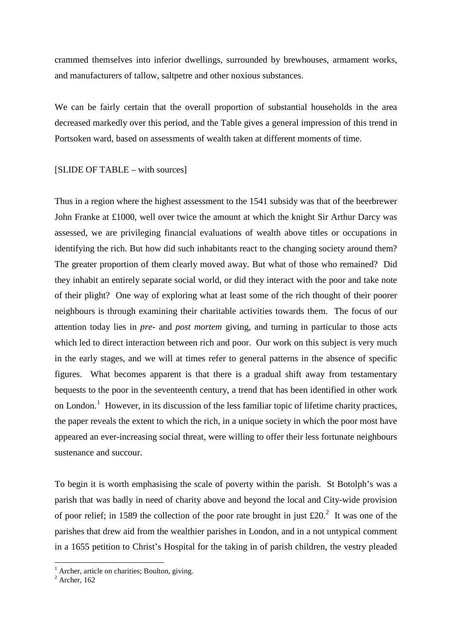crammed themselves into inferior dwellings, surrounded by brewhouses, armament works, and manufacturers of tallow, saltpetre and other noxious substances.

We can be fairly certain that the overall proportion of substantial households in the area decreased markedly over this period, and the Table gives a general impression of this trend in Portsoken ward, based on assessments of wealth taken at different moments of time.

[SLIDE OF TABLE – with sources]

Thus in a region where the highest assessment to the 1541 subsidy was that of the beerbrewer John Franke at £1000, well over twice the amount at which the knight Sir Arthur Darcy was assessed, we are privileging financial evaluations of wealth above titles or occupations in identifying the rich. But how did such inhabitants react to the changing society around them? The greater proportion of them clearly moved away. But what of those who remained? Did they inhabit an entirely separate social world, or did they interact with the poor and take note of their plight? One way of exploring what at least some of the rich thought of their poorer neighbours is through examining their charitable activities towards them. The focus of our attention today lies in *pre-* and *post mortem* giving, and turning in particular to those acts which led to direct interaction between rich and poor. Our work on this subject is very much in the early stages, and we will at times refer to general patterns in the absence of specific figures. What becomes apparent is that there is a gradual shift away from testamentary bequests to the poor in the seventeenth century, a trend that has been identified in other work on London.<sup>[1](#page-1-0)</sup> However, in its discussion of the less familiar topic of lifetime charity practices, the paper reveals the extent to which the rich, in a unique society in which the poor most have appeared an ever-increasing social threat, were willing to offer their less fortunate neighbours sustenance and succour.

To begin it is worth emphasising the scale of poverty within the parish. St Botolph's was a parish that was badly in need of charity above and beyond the local and City-wide provision of poor relief; in 1589 the collection of the poor rate brought in just  $\text{\pounds}20$  $\text{\pounds}20$  $\text{\pounds}20$ .<sup>2</sup> It was one of the parishes that drew aid from the wealthier parishes in London, and in a not untypical comment in a 1655 petition to Christ's Hospital for the taking in of parish children, the vestry pleaded

 $<sup>1</sup>$  Archer, article on charities; Boulton, giving.</sup>

<span id="page-1-1"></span><span id="page-1-0"></span> $2$  Archer, 162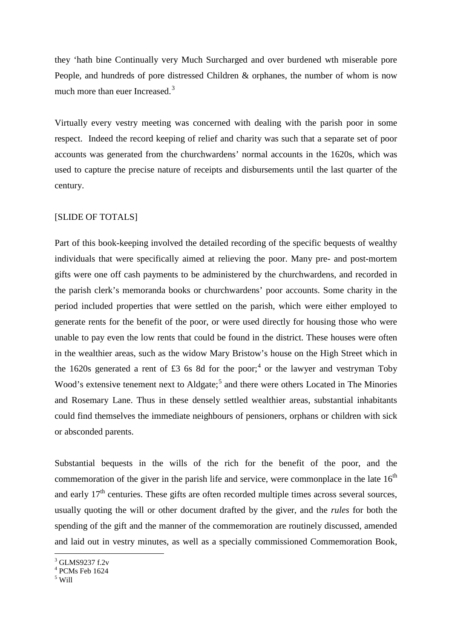they 'hath bine Continually very Much Surcharged and over burdened wth miserable pore People, and hundreds of pore distressed Children & orphanes, the number of whom is now much more than euer Increased.<sup>[3](#page-2-0)</sup>

Virtually every vestry meeting was concerned with dealing with the parish poor in some respect. Indeed the record keeping of relief and charity was such that a separate set of poor accounts was generated from the churchwardens' normal accounts in the 1620s, which was used to capture the precise nature of receipts and disbursements until the last quarter of the century.

## [SLIDE OF TOTALS]

Part of this book-keeping involved the detailed recording of the specific bequests of wealthy individuals that were specifically aimed at relieving the poor. Many pre- and post-mortem gifts were one off cash payments to be administered by the churchwardens, and recorded in the parish clerk's memoranda books or churchwardens' poor accounts. Some charity in the period included properties that were settled on the parish, which were either employed to generate rents for the benefit of the poor, or were used directly for housing those who were unable to pay even the low rents that could be found in the district. These houses were often in the wealthier areas, such as the widow Mary Bristow's house on the High Street which in the 1620s generated a rent of £3 6s 8d for the poor;<sup>[4](#page-2-1)</sup> or the lawyer and vestryman Toby Wood's extensive tenement next to Aldgate;<sup>[5](#page-2-2)</sup> and there were others Located in The Minories and Rosemary Lane. Thus in these densely settled wealthier areas, substantial inhabitants could find themselves the immediate neighbours of pensioners, orphans or children with sick or absconded parents.

Substantial bequests in the wills of the rich for the benefit of the poor, and the commemoration of the giver in the parish life and service, were commonplace in the late  $16<sup>th</sup>$ and early  $17<sup>th</sup>$  centuries. These gifts are often recorded multiple times across several sources, usually quoting the will or other document drafted by the giver, and the *rules* for both the spending of the gift and the manner of the commemoration are routinely discussed, amended and laid out in vestry minutes, as well as a specially commissioned Commemoration Book,

<span id="page-2-0"></span> $3$  GLMS9237 f.2v

<span id="page-2-1"></span> $4$  PCMs Feb 1624

<span id="page-2-2"></span> $5$  Will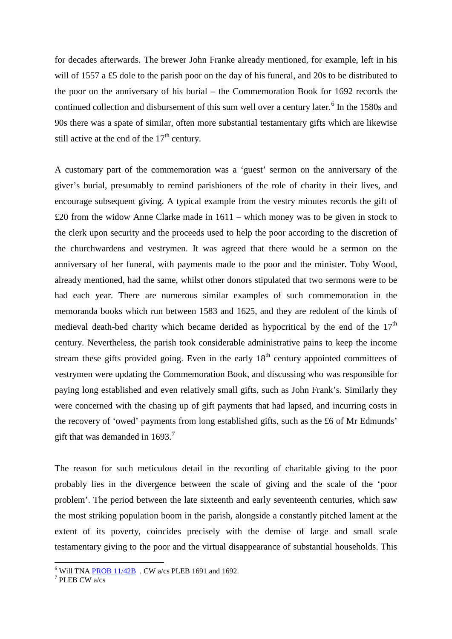for decades afterwards. The brewer John Franke already mentioned, for example, left in his will of 1557 a £5 dole to the parish poor on the day of his funeral, and 20s to be distributed to the poor on the anniversary of his burial – the Commemoration Book for 1692 records the continued collection and disbursement of this sum well over a century later.<sup>[6](#page-3-0)</sup> In the 1580s and 90s there was a spate of similar, often more substantial testamentary gifts which are likewise still active at the end of the  $17<sup>th</sup>$  century.

A customary part of the commemoration was a 'guest' sermon on the anniversary of the giver's burial, presumably to remind parishioners of the role of charity in their lives, and encourage subsequent giving. A typical example from the vestry minutes records the gift of £20 from the widow Anne Clarke made in 1611 – which money was to be given in stock to the clerk upon security and the proceeds used to help the poor according to the discretion of the churchwardens and vestrymen. It was agreed that there would be a sermon on the anniversary of her funeral, with payments made to the poor and the minister. Toby Wood, already mentioned, had the same, whilst other donors stipulated that two sermons were to be had each year. There are numerous similar examples of such commemoration in the memoranda books which run between 1583 and 1625, and they are redolent of the kinds of medieval death-bed charity which became derided as hypocritical by the end of the  $17<sup>th</sup>$ century. Nevertheless, the parish took considerable administrative pains to keep the income stream these gifts provided going. Even in the early  $18<sup>th</sup>$  century appointed committees of vestrymen were updating the Commemoration Book, and discussing who was responsible for paying long established and even relatively small gifts, such as John Frank's. Similarly they were concerned with the chasing up of gift payments that had lapsed, and incurring costs in the recovery of 'owed' payments from long established gifts, such as the £6 of Mr Edmunds' gift that was demanded in  $1693<sup>7</sup>$  $1693<sup>7</sup>$  $1693<sup>7</sup>$ 

The reason for such meticulous detail in the recording of charitable giving to the poor probably lies in the divergence between the scale of giving and the scale of the 'poor problem'. The period between the late sixteenth and early seventeenth centuries, which saw the most striking population boom in the parish, alongside a constantly pitched lament at the extent of its poverty, coincides precisely with the demise of large and small scale testamentary giving to the poor and the virtual disappearance of substantial households. This

<span id="page-3-0"></span><sup>&</sup>lt;sup>6</sup> Will TNA **PROB** 11/42B . CW a/cs PLEB 1691 and 1692.

<span id="page-3-1"></span>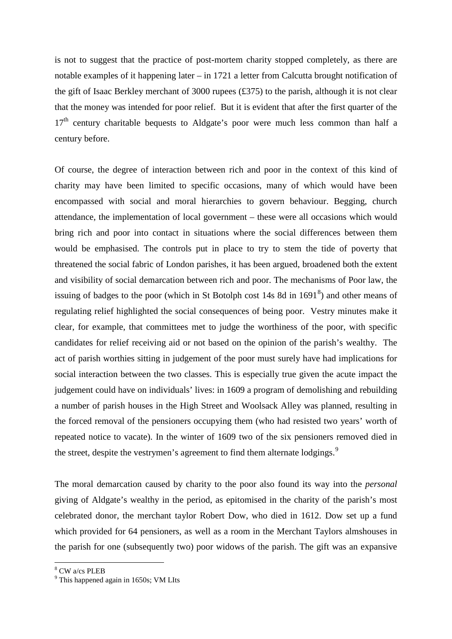is not to suggest that the practice of post-mortem charity stopped completely, as there are notable examples of it happening later – in 1721 a letter from Calcutta brought notification of the gift of Isaac Berkley merchant of 3000 rupees (£375) to the parish, although it is not clear that the money was intended for poor relief. But it is evident that after the first quarter of the  $17<sup>th</sup>$  century charitable bequests to Aldgate's poor were much less common than half a century before.

Of course, the degree of interaction between rich and poor in the context of this kind of charity may have been limited to specific occasions, many of which would have been encompassed with social and moral hierarchies to govern behaviour. Begging, church attendance, the implementation of local government – these were all occasions which would bring rich and poor into contact in situations where the social differences between them would be emphasised. The controls put in place to try to stem the tide of poverty that threatened the social fabric of London parishes, it has been argued, broadened both the extent and visibility of social demarcation between rich and poor. The mechanisms of Poor law, the issuing of badges to the poor (which in St Botolph cost  $14s$  [8](#page-4-0)d in  $1691<sup>8</sup>$ ) and other means of regulating relief highlighted the social consequences of being poor. Vestry minutes make it clear, for example, that committees met to judge the worthiness of the poor, with specific candidates for relief receiving aid or not based on the opinion of the parish's wealthy. The act of parish worthies sitting in judgement of the poor must surely have had implications for social interaction between the two classes. This is especially true given the acute impact the judgement could have on individuals' lives: in 1609 a program of demolishing and rebuilding a number of parish houses in the High Street and Woolsack Alley was planned, resulting in the forced removal of the pensioners occupying them (who had resisted two years' worth of repeated notice to vacate). In the winter of 1609 two of the six pensioners removed died in the street, despite the vestrymen's agreement to find them alternate lodgings.<sup>[9](#page-4-1)</sup>

The moral demarcation caused by charity to the poor also found its way into the *personal* giving of Aldgate's wealthy in the period, as epitomised in the charity of the parish's most celebrated donor, the merchant taylor Robert Dow, who died in 1612. Dow set up a fund which provided for 64 pensioners, as well as a room in the Merchant Taylors almshouses in the parish for one (subsequently two) poor widows of the parish. The gift was an expansive

<span id="page-4-0"></span> <sup>8</sup> CW a/cs PLEB

<span id="page-4-1"></span> $<sup>9</sup>$  This happened again in 1650s; VM LIts</sup>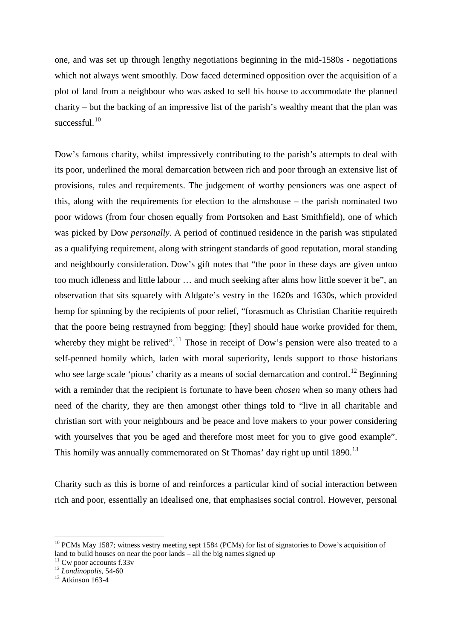one, and was set up through lengthy negotiations beginning in the mid-1580s - negotiations which not always went smoothly. Dow faced determined opposition over the acquisition of a plot of land from a neighbour who was asked to sell his house to accommodate the planned charity – but the backing of an impressive list of the parish's wealthy meant that the plan was successful.<sup>[10](#page-5-0)</sup>

Dow's famous charity, whilst impressively contributing to the parish's attempts to deal with its poor, underlined the moral demarcation between rich and poor through an extensive list of provisions, rules and requirements. The judgement of worthy pensioners was one aspect of this, along with the requirements for election to the almshouse – the parish nominated two poor widows (from four chosen equally from Portsoken and East Smithfield), one of which was picked by Dow *personally*. A period of continued residence in the parish was stipulated as a qualifying requirement, along with stringent standards of good reputation, moral standing and neighbourly consideration. Dow's gift notes that "the poor in these days are given untoo too much idleness and little labour … and much seeking after alms how little soever it be", an observation that sits squarely with Aldgate's vestry in the 1620s and 1630s, which provided hemp for spinning by the recipients of poor relief, "forasmuch as Christian Charitie requireth that the poore being restrayned from begging: [they] should haue worke provided for them, whereby they might be relived".<sup>[11](#page-5-1)</sup> Those in receipt of Dow's pension were also treated to a self-penned homily which, laden with moral superiority, lends support to those historians who see large scale 'pious' charity as a means of social demarcation and control.<sup>[12](#page-5-2)</sup> Beginning with a reminder that the recipient is fortunate to have been *chosen* when so many others had need of the charity, they are then amongst other things told to "live in all charitable and christian sort with your neighbours and be peace and love makers to your power considering with yourselves that you be aged and therefore most meet for you to give good example". This homily was annually commemorated on St Thomas' day right up until  $1890$ <sup>[13](#page-5-3)</sup>

Charity such as this is borne of and reinforces a particular kind of social interaction between rich and poor, essentially an idealised one, that emphasises social control. However, personal

<span id="page-5-2"></span>

<span id="page-5-0"></span><sup>&</sup>lt;sup>10</sup> PCMs May 1587; witness vestry meeting sept 1584 (PCMs) for list of signatories to Dowe's acquisition of land to build houses on near the poor lands – all the big names signed up<br><sup>11</sup> Cw poor accounts f.33v<br><sup>12</sup> *Londinopolis*, 54-60 <sup>13</sup> Atkinson 163-4

<span id="page-5-1"></span>

<span id="page-5-3"></span>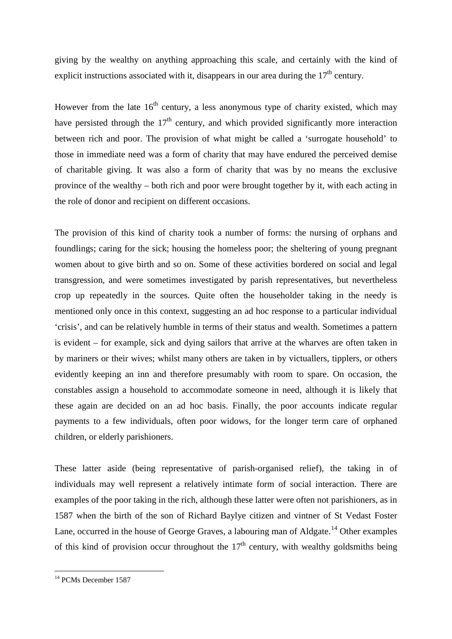giving by the wealthy on anything approaching this scale, and certainly with the kind of explicit instructions associated with it, disappears in our area during the  $17<sup>th</sup>$  century.

However from the late  $16<sup>th</sup>$  century, a less anonymous type of charity existed, which may have persisted through the  $17<sup>th</sup>$  century, and which provided significantly more interaction between rich and poor. The provision of what might be called a 'surrogate household' to those in immediate need was a form of charity that may have endured the perceived demise of charitable giving. It was also a form of charity that was by no means the exclusive province of the wealthy – both rich and poor were brought together by it, with each acting in the role of donor and recipient on different occasions.

The provision of this kind of charity took a number of forms: the nursing of orphans and foundlings; caring for the sick; housing the homeless poor; the sheltering of young pregnant women about to give birth and so on. Some of these activities bordered on social and legal transgression, and were sometimes investigated by parish representatives, but nevertheless crop up repeatedly in the sources. Quite often the householder taking in the needy is mentioned only once in this context, suggesting an ad hoc response to a particular individual 'crisis', and can be relatively humble in terms of their status and wealth. Sometimes a pattern is evident – for example, sick and dying sailors that arrive at the wharves are often taken in by mariners or their wives; whilst many others are taken in by victuallers, tipplers, or others evidently keeping an inn and therefore presumably with room to spare. On occasion, the constables assign a household to accommodate someone in need, although it is likely that these again are decided on an ad hoc basis. Finally, the poor accounts indicate regular payments to a few individuals, often poor widows, for the longer term care of orphaned children, or elderly parishioners.

These latter aside (being representative of parish-organised relief), the taking in of individuals may well represent a relatively intimate form of social interaction. There are examples of the poor taking in the rich, although these latter were often not parishioners, as in 1587 when the birth of the son of Richard Baylye citizen and vintner of St Vedast Foster Lane, occurred in the house of George Graves, a labouring man of Aldgate.<sup>[14](#page-6-0)</sup> Other examples of this kind of provision occur throughout the  $17<sup>th</sup>$  century, with wealthy goldsmiths being

<span id="page-6-0"></span><sup>&</sup>lt;sup>14</sup> PCMs December 1587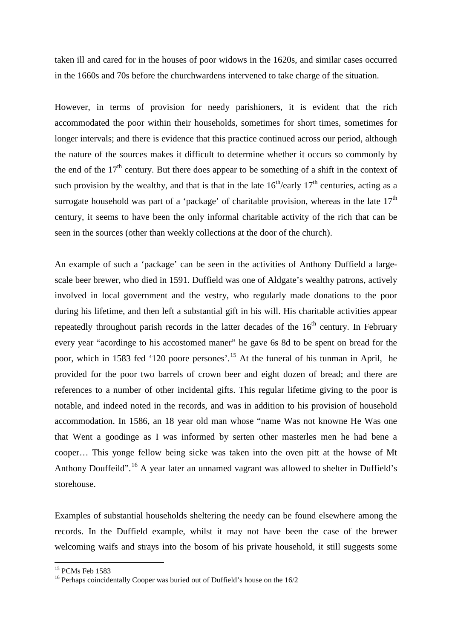taken ill and cared for in the houses of poor widows in the 1620s, and similar cases occurred in the 1660s and 70s before the churchwardens intervened to take charge of the situation.

However, in terms of provision for needy parishioners, it is evident that the rich accommodated the poor within their households, sometimes for short times, sometimes for longer intervals; and there is evidence that this practice continued across our period, although the nature of the sources makes it difficult to determine whether it occurs so commonly by the end of the  $17<sup>th</sup>$  century. But there does appear to be something of a shift in the context of such provision by the wealthy, and that is that in the late  $16<sup>th</sup>/early$   $17<sup>th</sup>$  centuries, acting as a surrogate household was part of a 'package' of charitable provision, whereas in the late  $17<sup>th</sup>$ century, it seems to have been the only informal charitable activity of the rich that can be seen in the sources (other than weekly collections at the door of the church).

An example of such a 'package' can be seen in the activities of Anthony Duffield a largescale beer brewer, who died in 1591. Duffield was one of Aldgate's wealthy patrons, actively involved in local government and the vestry, who regularly made donations to the poor during his lifetime, and then left a substantial gift in his will. His charitable activities appear repeatedly throughout parish records in the latter decades of the  $16<sup>th</sup>$  century. In February every year "acordinge to his accostomed maner" he gave 6s 8d to be spent on bread for the poor, which in 1583 fed '120 poore persones'.[15](#page-7-0) At the funeral of his tunman in April, he provided for the poor two barrels of crown beer and eight dozen of bread; and there are references to a number of other incidental gifts. This regular lifetime giving to the poor is notable, and indeed noted in the records, and was in addition to his provision of household accommodation. In 1586, an 18 year old man whose "name Was not knowne He Was one that Went a goodinge as I was informed by serten other masterles men he had bene a cooper… This yonge fellow being sicke was taken into the oven pitt at the howse of Mt Anthony Douffeild".[16](#page-7-1) A year later an unnamed vagrant was allowed to shelter in Duffield's storehouse.

Examples of substantial households sheltering the needy can be found elsewhere among the records. In the Duffield example, whilst it may not have been the case of the brewer welcoming waifs and strays into the bosom of his private household, it still suggests some

<span id="page-7-1"></span>

<span id="page-7-0"></span><sup>&</sup>lt;sup>15</sup> PCMs Feb 1583<br><sup>16</sup> Perhaps coincidentally Cooper was buried out of Duffield's house on the  $16/2$